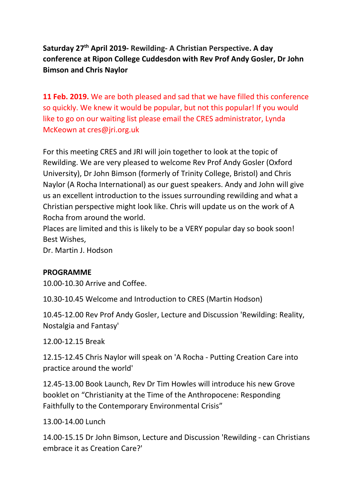# **Saturday 27th April 2019- Rewilding- A Christian Perspective. A day conference at Ripon College Cuddesdon with Rev Prof Andy Gosler, Dr John Bimson and Chris Naylor**

**11 Feb. 2019.** We are both pleased and sad that we have filled this conference so quickly. We knew it would be popular, but not this popular! If you would like to go on our waiting list please email the CRES administrator, Lynda McKeown at cres@jri.org.uk

For this meeting CRES and JRI will join together to look at the topic of Rewilding. We are very pleased to welcome Rev Prof Andy Gosler (Oxford University), Dr John Bimson (formerly of Trinity College, Bristol) and Chris Naylor (A Rocha International) as our guest speakers. Andy and John will give us an excellent introduction to the issues surrounding rewilding and what a Christian perspective might look like. Chris will update us on the work of A Rocha from around the world.

Places are limited and this is likely to be a VERY popular day so book soon! Best Wishes,

Dr. Martin J. Hodson

### **PROGRAMME**

10.00-10.30 Arrive and Coffee.

10.30-10.45 Welcome and Introduction to CRES (Martin Hodson)

10.45-12.00 Rev Prof Andy Gosler, Lecture and Discussion 'Rewilding: Reality, Nostalgia and Fantasy'

12.00-12.15 Break

12.15-12.45 Chris Naylor will speak on 'A Rocha - Putting Creation Care into practice around the world'

12.45-13.00 Book Launch, Rev Dr Tim Howles will introduce his new Grove booklet on "Christianity at the Time of the Anthropocene: Responding Faithfully to the Contemporary Environmental Crisis"

13.00-14.00 Lunch

14.00-15.15 Dr John Bimson, Lecture and Discussion 'Rewilding - can Christians embrace it as Creation Care?'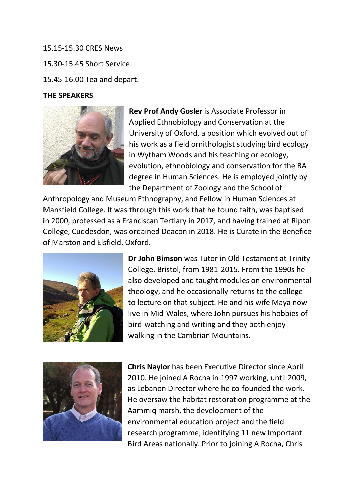15.15-15.30 CRES News 15.30-15.45 Short Service 15.45-16.00 Tea and depart.

#### **THE SPEAKERS**



**Rev Prof Andy Gosler** is Associate Professor in Applied Ethnobiology and Conservation at the University of Oxford, a position which evolved out of his work as a field ornithologist studying bird ecology in Wytham Woods and his teaching or ecology, evolution, ethnobiology and conservation for the BA degree in Human Sciences. He is employed jointly by the Department of Zoology and the School of

Anthropology and Museum Ethnography, and Fellow in Human Sciences at Mansfield College. It was through this work that he found faith, was baptised in 2000, professed as a Franciscan Tertiary in 2017, and having trained at Ripon College, Cuddesdon, was ordained Deacon in 2018. He is Curate in the Benefice of Marston and Elsfield, Oxford.



**Dr John Bimson** was Tutor in Old Testament at Trinity College, Bristol, from 1981-2015. From the 1990s he also developed and taught modules on environmental theology, and he occasionally returns to the college to lecture on that subject. He and his wife Maya now live in Mid-Wales, where John pursues his hobbies of bird-watching and writing and they both enjoy walking in the Cambrian Mountains.



**Chris Naylor** has been Executive Director since April 2010. He joined A Rocha in 1997 working, until 2009, as Lebanon Director where he co-founded the work. He oversaw the habitat restoration programme at the Aammiq marsh, the development of the environmental education project and the field research programme; identifying 11 new Important Bird Areas nationally. Prior to joining A Rocha, Chris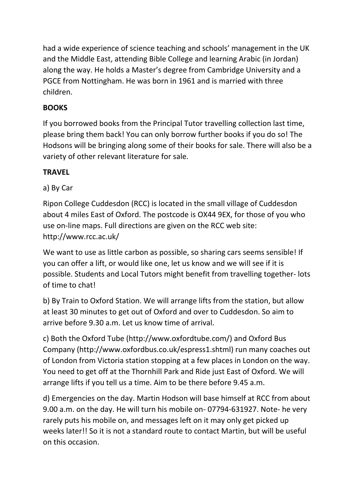had a wide experience of science teaching and schools' management in the UK and the Middle East, attending Bible College and learning Arabic (in Jordan) along the way. He holds a Master's degree from Cambridge University and a PGCE from Nottingham. He was born in 1961 and is married with three children.

## **BOOKS**

If you borrowed books from the Principal Tutor travelling collection last time, please bring them back! You can only borrow further books if you do so! The Hodsons will be bringing along some of their books for sale. There will also be a variety of other relevant literature for sale.

## **TRAVEL**

## a) By Car

Ripon College Cuddesdon (RCC) is located in the small village of Cuddesdon about 4 miles East of Oxford. The postcode is OX44 9EX, for those of you who use on-line maps. Full directions are given on the RCC web site: http://www.rcc.ac.uk/

We want to use as little carbon as possible, so sharing cars seems sensible! If you can offer a lift, or would like one, let us know and we will see if it is possible. Students and Local Tutors might benefit from travelling together- lots of time to chat!

b) By Train to Oxford Station. We will arrange lifts from the station, but allow at least 30 minutes to get out of Oxford and over to Cuddesdon. So aim to arrive before 9.30 a.m. Let us know time of arrival.

c) Both the Oxford Tube (http://www.oxfordtube.com/) and Oxford Bus Company (http://www.oxfordbus.co.uk/espress1.shtml) run many coaches out of London from Victoria station stopping at a few places in London on the way. You need to get off at the Thornhill Park and Ride just East of Oxford. We will arrange lifts if you tell us a time. Aim to be there before 9.45 a.m.

d) Emergencies on the day. Martin Hodson will base himself at RCC from about 9.00 a.m. on the day. He will turn his mobile on- 07794-631927. Note- he very rarely puts his mobile on, and messages left on it may only get picked up weeks later!! So it is not a standard route to contact Martin, but will be useful on this occasion.